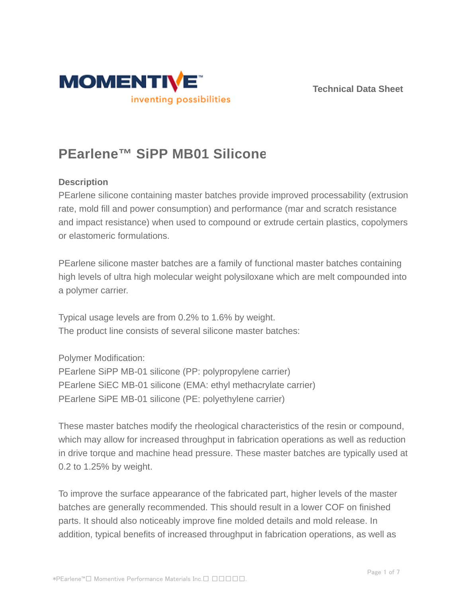



# **PEarlene™ SiPP MB01 Silicone**

## **Description**

PEarlene silicone containing master batches provide improved processability (extrusion rate, mold fill and power consumption) and performance (mar and scratch resistance and impact resistance) when used to compound or extrude certain plastics, copolymers or elastomeric formulations.

PEarlene silicone master batches are a family of functional master batches containing high levels of ultra high molecular weight polysiloxane which are melt compounded into a polymer carrier.

Typical usage levels are from 0.2% to 1.6% by weight. The product line consists of several silicone master batches:

Polymer Modification:

PEarlene SiPP MB-01 silicone (PP: polypropylene carrier) PEarlene SiEC MB-01 silicone (EMA: ethyl methacrylate carrier) PEarlene SiPE MB-01 silicone (PE: polyethylene carrier)

These master batches modify the rheological characteristics of the resin or compound, which may allow for increased throughput in fabrication operations as well as reduction in drive torque and machine head pressure. These master batches are typically used at 0.2 to 1.25% by weight.

To improve the surface appearance of the fabricated part, higher levels of the master batches are generally recommended. This should result in a lower COF on finished parts. It should also noticeably improve fine molded details and mold release. In addition, typical benefits of increased throughput in fabrication operations, as well as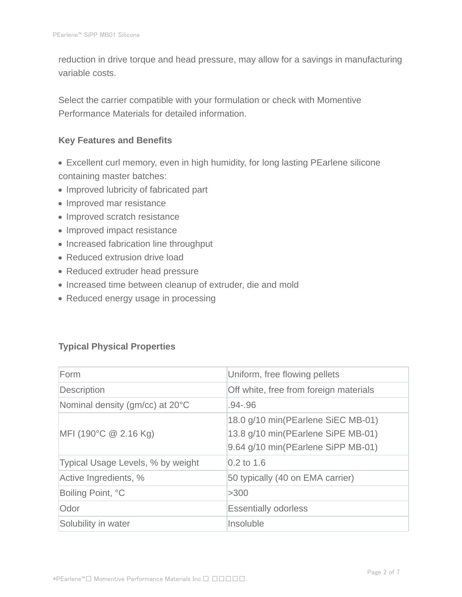reduction in drive torque and head pressure, may allow for a savings in manufacturing variable costs.

Select the carrier compatible with your formulation or check with Momentive Performance Materials for detailed information.

## **Key Features and Benefits**

- Excellent curl memory, even in high humidity, for long lasting PEarlene silicone containing master batches:
- Improved lubricity of fabricated part
- Improved mar resistance
- Improved scratch resistance
- Improved impact resistance
- Increased fabrication line throughput
- Reduced extrusion drive load
- Reduced extruder head pressure
- Increased time between cleanup of extruder, die and mold
- Reduced energy usage in processing

## **Typical Physical Properties**

| Form                              | Uniform, free flowing pellets                                                                                  |  |  |
|-----------------------------------|----------------------------------------------------------------------------------------------------------------|--|--|
| Description                       | Off white, free from foreign materials                                                                         |  |  |
| Nominal density (gm/cc) at 20°C   | .94-.96                                                                                                        |  |  |
| MFI (190°C $@$ 2.16 Kg)           | 18.0 g/10 min(PEarlene SiEC MB-01)<br>13.8 g/10 min(PEarlene SiPE MB-01)<br>9.64 g/10 min(PEarlene SiPP MB-01) |  |  |
| Typical Usage Levels, % by weight | $0.2$ to 1.6                                                                                                   |  |  |
| Active Ingredients, %             | 50 typically (40 on EMA carrier)                                                                               |  |  |
| Boiling Point, °C                 | >300                                                                                                           |  |  |
| Odor                              | <b>Essentially odorless</b>                                                                                    |  |  |
| Solubility in water               | Insoluble                                                                                                      |  |  |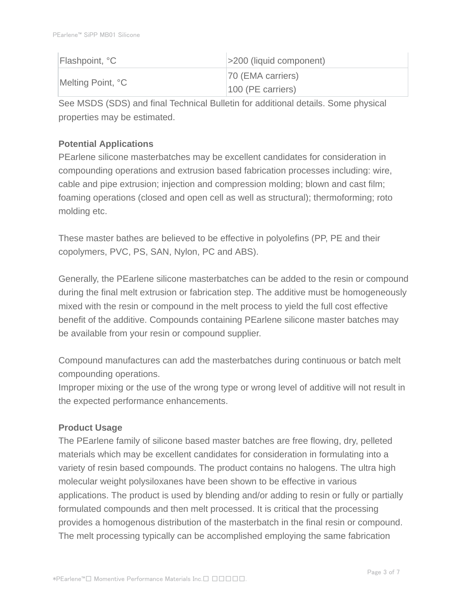| Flashpoint, °C    | $ $ >200 (liquid component) |
|-------------------|-----------------------------|
| Melting Point, °C | 70 (EMA carriers)           |
|                   | $100$ (PE carriers)         |

See MSDS (SDS) and final Technical Bulletin for additional details. Some physical properties may be estimated.

# **Potential Applications**

PEarlene silicone masterbatches may be excellent candidates for consideration in compounding operations and extrusion based fabrication processes including: wire, cable and pipe extrusion; injection and compression molding; blown and cast film; foaming operations (closed and open cell as well as structural); thermoforming; roto molding etc.

These master bathes are believed to be effective in polyolefins (PP, PE and their copolymers, PVC, PS, SAN, Nylon, PC and ABS).

Generally, the PEarlene silicone masterbatches can be added to the resin or compound during the final melt extrusion or fabrication step. The additive must be homogeneously mixed with the resin or compound in the melt process to yield the full cost effective benefit of the additive. Compounds containing PEarlene silicone master batches may be available from your resin or compound supplier.

Compound manufactures can add the masterbatches during continuous or batch melt compounding operations.

Improper mixing or the use of the wrong type or wrong level of additive will not result in the expected performance enhancements.

## **Product Usage**

The PEarlene family of silicone based master batches are free flowing, dry, pelleted materials which may be excellent candidates for consideration in formulating into a variety of resin based compounds. The product contains no halogens. The ultra high molecular weight polysiloxanes have been shown to be effective in various applications. The product is used by blending and/or adding to resin or fully or partially formulated compounds and then melt processed. It is critical that the processing provides a homogenous distribution of the masterbatch in the final resin or compound. The melt processing typically can be accomplished employing the same fabrication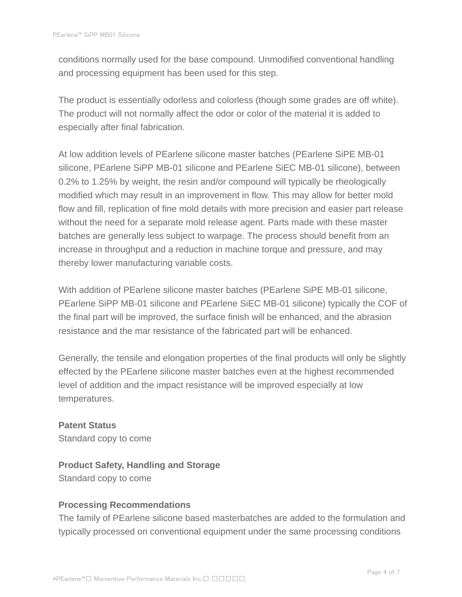conditions normally used for the base compound. Unmodified conventional handling and processing equipment has been used for this step.

The product is essentially odorless and colorless (though some grades are off white). The product will not normally affect the odor or color of the material it is added to especially after final fabrication.

At low addition levels of PEarlene silicone master batches (PEarlene SiPE MB-01 silicone, PEarlene SiPP MB-01 silicone and PEarlene SiEC MB-01 silicone), between 0.2% to 1.25% by weight, the resin and/or compound will typically be rheologically modified which may result in an improvement in flow. This may allow for better mold flow and fill, replication of fine mold details with more precision and easier part release without the need for a separate mold release agent. Parts made with these master batches are generally less subject to warpage. The process should benefit from an increase in throughput and a reduction in machine torque and pressure, and may thereby lower manufacturing variable costs.

With addition of PEarlene silicone master batches (PEarlene SiPE MB-01 silicone, PEarlene SiPP MB-01 silicone and PEarlene SiEC MB-01 silicone) typically the COF of the final part will be improved, the surface finish will be enhanced, and the abrasion resistance and the mar resistance of the fabricated part will be enhanced.

Generally, the tensile and elongation properties of the final products will only be slightly effected by the PEarlene silicone master batches even at the highest recommended level of addition and the impact resistance will be improved especially at low temperatures.

**Patent Status** Standard copy to come

**Product Safety, Handling and Storage** Standard copy to come

## **Processing Recommendations**

The family of PEarlene silicone based masterbatches are added to the formulation and typically processed on conventional equipment under the same processing conditions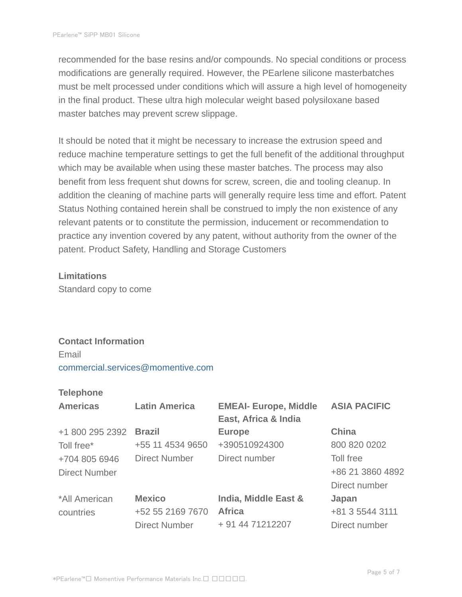recommended for the base resins and/or compounds. No special conditions or process modifications are generally required. However, the PEarlene silicone masterbatches must be melt processed under conditions which will assure a high level of homogeneity in the final product. These ultra high molecular weight based polysiloxane based master batches may prevent screw slippage.

It should be noted that it might be necessary to increase the extrusion speed and reduce machine temperature settings to get the full benefit of the additional throughput which may be available when using these master batches. The process may also benefit from less frequent shut downs for screw, screen, die and tooling cleanup. In addition the cleaning of machine parts will generally require less time and effort. Patent Status Nothing contained herein shall be construed to imply the non existence of any relevant patents or to constitute the permission, inducement or recommendation to practice any invention covered by any patent, without authority from the owner of the patent. Product Safety, Handling and Storage Customers

#### **Limitations**

Standard copy to come

## **Contact Information**

Email commercial.services@momentive.com

#### **Telephone**

| <b>Americas</b>      | <b>Latin America</b> | <b>EMEAI- Europe, Middle</b><br>East, Africa & India | <b>ASIA PACIFIC</b> |
|----------------------|----------------------|------------------------------------------------------|---------------------|
| +1 800 295 2392      | <b>Brazil</b>        | <b>Europe</b>                                        | China               |
| Toll free*           | +55 11 4534 9650     | +390510924300                                        | 800 820 0202        |
| +704 805 6946        | <b>Direct Number</b> | Direct number                                        | Toll free           |
| <b>Direct Number</b> |                      |                                                      | +86 21 3860 4892    |
|                      |                      |                                                      | Direct number       |
| *All American        | <b>Mexico</b>        | India, Middle East &                                 | Japan               |
| countries            | +52 55 2169 7670     | <b>Africa</b>                                        | +81 3 5544 3111     |
|                      | <b>Direct Number</b> | + 91 44 71212207                                     | Direct number       |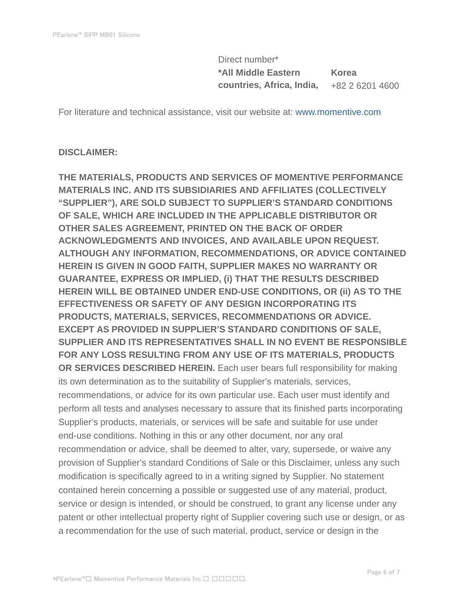Direct number\* **\*All Middle Eastern countries, Africa, India, Korea** +82 2 6201 4600

For literature and technical assistance, visit our website at: www.momentive.com

#### **DISCLAIMER:**

**THE MATERIALS, PRODUCTS AND SERVICES OF MOMENTIVE PERFORMANCE MATERIALS INC. AND ITS SUBSIDIARIES AND AFFILIATES (COLLECTIVELY "SUPPLIER"), ARE SOLD SUBJECT TO SUPPLIER'S STANDARD CONDITIONS OF SALE, WHICH ARE INCLUDED IN THE APPLICABLE DISTRIBUTOR OR OTHER SALES AGREEMENT, PRINTED ON THE BACK OF ORDER ACKNOWLEDGMENTS AND INVOICES, AND AVAILABLE UPON REQUEST. ALTHOUGH ANY INFORMATION, RECOMMENDATIONS, OR ADVICE CONTAINED HEREIN IS GIVEN IN GOOD FAITH, SUPPLIER MAKES NO WARRANTY OR GUARANTEE, EXPRESS OR IMPLIED, (i) THAT THE RESULTS DESCRIBED HEREIN WILL BE OBTAINED UNDER END-USE CONDITIONS, OR (ii) AS TO THE EFFECTIVENESS OR SAFETY OF ANY DESIGN INCORPORATING ITS PRODUCTS, MATERIALS, SERVICES, RECOMMENDATIONS OR ADVICE. EXCEPT AS PROVIDED IN SUPPLIER'S STANDARD CONDITIONS OF SALE, SUPPLIER AND ITS REPRESENTATIVES SHALL IN NO EVENT BE RESPONSIBLE FOR ANY LOSS RESULTING FROM ANY USE OF ITS MATERIALS, PRODUCTS OR SERVICES DESCRIBED HEREIN.** Each user bears full responsibility for making its own determination as to the suitability of Supplier's materials, services, recommendations, or advice for its own particular use. Each user must identify and perform all tests and analyses necessary to assure that its finished parts incorporating Supplier's products, materials, or services will be safe and suitable for use under end-use conditions. Nothing in this or any other document, nor any oral recommendation or advice, shall be deemed to alter, vary, supersede, or waive any provision of Supplier's standard Conditions of Sale or this Disclaimer, unless any such modification is specifically agreed to in a writing signed by Supplier. No statement contained herein concerning a possible or suggested use of any material, product, service or design is intended, or should be construed, to grant any license under any patent or other intellectual property right of Supplier covering such use or design, or as a recommendation for the use of such material, product, service or design in the